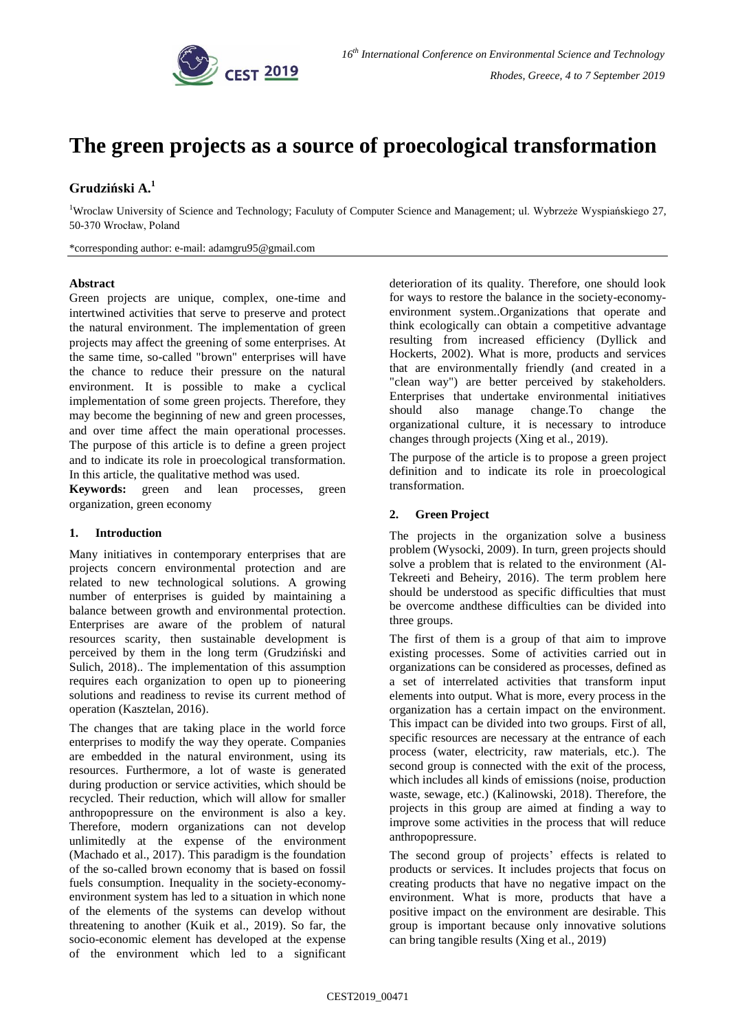

# **The green projects as a source of proecological transformation**

# **Grudziński A. 1**

<sup>1</sup>Wroclaw University of Science and Technology; Faculuty of Computer Science and Management; ul. Wybrzeże Wyspiańskiego 27, 50-370 Wrocław, Poland

\*corresponding author: e-mail: adamgru95@gmail.com

#### **Abstract**

Green projects are unique, complex, one-time and intertwined activities that serve to preserve and protect the natural environment. The implementation of green projects may affect the greening of some enterprises. At the same time, so-called "brown" enterprises will have the chance to reduce their pressure on the natural environment. It is possible to make a cyclical implementation of some green projects. Therefore, they may become the beginning of new and green processes, and over time affect the main operational processes. The purpose of this article is to define a green project and to indicate its role in proecological transformation. In this article, the qualitative method was used.

**Keywords:** green and lean processes, green organization, green economy

## **1. Introduction**

Many initiatives in contemporary enterprises that are projects concern environmental protection and are related to new technological solutions. A growing number of enterprises is guided by maintaining a balance between growth and environmental protection. Enterprises are aware of the problem of natural resources scarity, then sustainable development is perceived by them in the long term (Grudziński and Sulich, 2018).. The implementation of this assumption requires each organization to open up to pioneering solutions and readiness to revise its current method of operation (Kasztelan, 2016).

The changes that are taking place in the world force enterprises to modify the way they operate. Companies are embedded in the natural environment, using its resources. Furthermore, a lot of waste is generated during production or service activities, which should be recycled. Their reduction, which will allow for smaller anthropopressure on the environment is also a key. Therefore, modern organizations can not develop unlimitedly at the expense of the environment (Machado et al., 2017). This paradigm is the foundation of the so-called brown economy that is based on fossil fuels consumption. Inequality in the society-economyenvironment system has led to a situation in which none of the elements of the systems can develop without threatening to another (Kuik et al., 2019). So far, the socio-economic element has developed at the expense of the environment which led to a significant

deterioration of its quality. Therefore, one should look for ways to restore the balance in the society-economyenvironment system..Organizations that operate and think ecologically can obtain a competitive advantage resulting from increased efficiency (Dyllick and Hockerts, 2002). What is more, products and services that are environmentally friendly (and created in a "clean way") are better perceived by stakeholders. Enterprises that undertake environmental initiatives should also manage change.To change the organizational culture, it is necessary to introduce changes through projects (Xing et al., 2019).

The purpose of the article is to propose a green project definition and to indicate its role in proecological transformation.

# **2. Green Project**

The projects in the organization solve a business problem (Wysocki, 2009). In turn, green projects should solve a problem that is related to the environment (Al-Tekreeti and Beheiry, 2016). The term problem here should be understood as specific difficulties that must be overcome andthese difficulties can be divided into three groups.

The first of them is a group of that aim to improve existing processes. Some of activities carried out in organizations can be considered as processes, defined as a set of interrelated activities that transform input elements into output. What is more, every process in the organization has a certain impact on the environment. This impact can be divided into two groups. First of all, specific resources are necessary at the entrance of each process (water, electricity, raw materials, etc.). The second group is connected with the exit of the process, which includes all kinds of emissions (noise, production waste, sewage, etc.) (Kalinowski, 2018). Therefore, the projects in this group are aimed at finding a way to improve some activities in the process that will reduce anthropopressure.

The second group of projects' effects is related to products or services. It includes projects that focus on creating products that have no negative impact on the environment. What is more, products that have a positive impact on the environment are desirable. This group is important because only innovative solutions can bring tangible results (Xing et al., 2019)